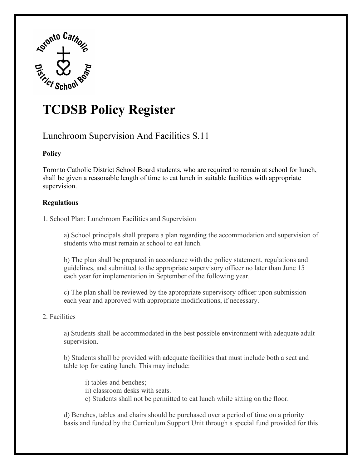

# **TCDSB Policy Register**

# Lunchroom Supervision And Facilities S.11

## **Policy**

Toronto Catholic District School Board students, who are required to remain at school for lunch, shall be given a reasonable length of time to eat lunch in suitable facilities with appropriate supervision.

## **Regulations**

1. School Plan: Lunchroom Facilities and Supervision

a) School principals shall prepare a plan regarding the accommodation and supervision of students who must remain at school to eat lunch.

b) The plan shall be prepared in accordance with the policy statement, regulations and guidelines, and submitted to the appropriate supervisory officer no later than June 15 each year for implementation in September of the following year.

c) The plan shall be reviewed by the appropriate supervisory officer upon submission each year and approved with appropriate modifications, if necessary.

#### 2. Facilities

a) Students shall be accommodated in the best possible environment with adequate adult supervision.

b) Students shall be provided with adequate facilities that must include both a seat and table top for eating lunch. This may include:

i) tables and benches;

ii) classroom desks with seats.

c) Students shall not be permitted to eat lunch while sitting on the floor.

d) Benches, tables and chairs should be purchased over a period of time on a priority basis and funded by the Curriculum Support Unit through a special fund provided for this